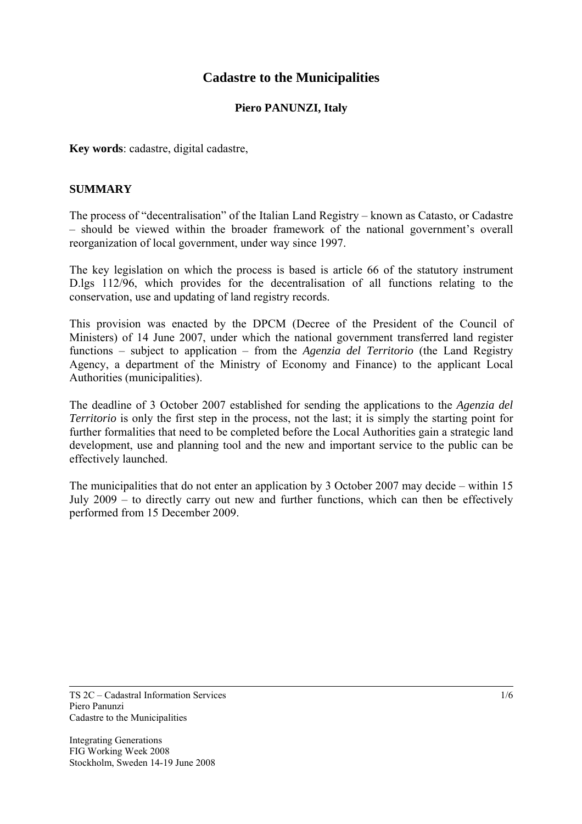# **Cadastre to the Municipalities**

### **Piero PANUNZI, Italy**

**Key words**: cadastre, digital cadastre,

#### **SUMMARY**

The process of "decentralisation" of the Italian Land Registry – known as Catasto, or Cadastre – should be viewed within the broader framework of the national government's overall reorganization of local government, under way since 1997.

The key legislation on which the process is based is article 66 of the statutory instrument D.lgs 112/96, which provides for the decentralisation of all functions relating to the conservation, use and updating of land registry records.

This provision was enacted by the DPCM (Decree of the President of the Council of Ministers) of 14 June 2007, under which the national government transferred land register functions – subject to application – from the *Agenzia del Territorio* (the Land Registry Agency, a department of the Ministry of Economy and Finance) to the applicant Local Authorities (municipalities).

The deadline of 3 October 2007 established for sending the applications to the *Agenzia del Territorio* is only the first step in the process, not the last; it is simply the starting point for further formalities that need to be completed before the Local Authorities gain a strategic land development, use and planning tool and the new and important service to the public can be effectively launched.

The municipalities that do not enter an application by 3 October 2007 may decide – within 15 July 2009 – to directly carry out new and further functions, which can then be effectively performed from 15 December 2009.

TS 2C – Cadastral Information Services Piero Panunzi Cadastre to the Municipalities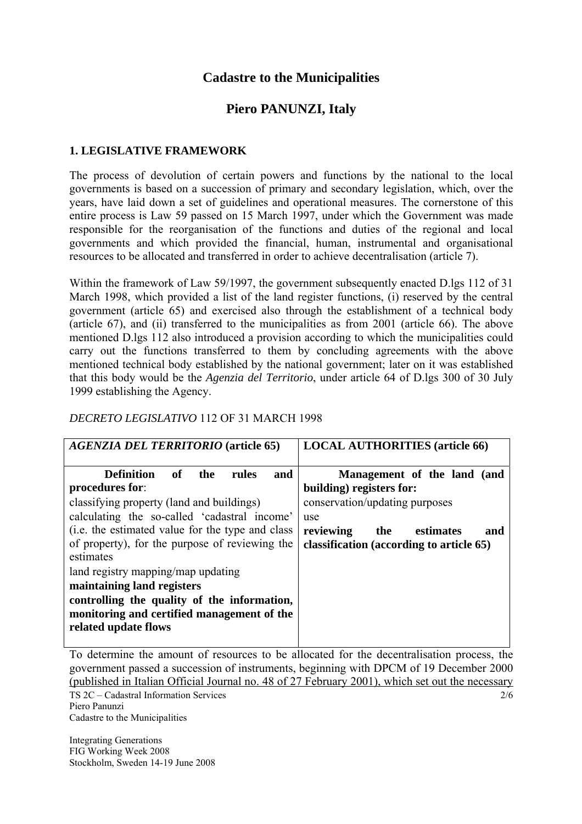# **Cadastre to the Municipalities**

# **Piero PANUNZI, Italy**

### **1. LEGISLATIVE FRAMEWORK**

The process of devolution of certain powers and functions by the national to the local governments is based on a succession of primary and secondary legislation, which, over the years, have laid down a set of guidelines and operational measures. The cornerstone of this entire process is Law 59 passed on 15 March 1997, under which the Government was made responsible for the reorganisation of the functions and duties of the regional and local governments and which provided the financial, human, instrumental and organisational resources to be allocated and transferred in order to achieve decentralisation (article 7).

Within the framework of Law 59/1997, the government subsequently enacted D.lgs 112 of 31 March 1998, which provided a list of the land register functions, (i) reserved by the central government (article 65) and exercised also through the establishment of a technical body (article 67), and (ii) transferred to the municipalities as from 2001 (article 66). The above mentioned D.lgs 112 also introduced a provision according to which the municipalities could carry out the functions transferred to them by concluding agreements with the above mentioned technical body established by the national government; later on it was established that this body would be the *Agenzia del Territorio*, under article 64 of D.lgs 300 of 30 July 1999 establishing the Agency.

#### *DECRETO LEGISLATIVO* 112 OF 31 MARCH 1998

| <b>AGENZIA DEL TERRITORIO</b> (article 65)                                                                                                                                                                                                                                                                                                                                                                                                                       | <b>LOCAL AUTHORITIES (article 66)</b>                                                                                                                                                |
|------------------------------------------------------------------------------------------------------------------------------------------------------------------------------------------------------------------------------------------------------------------------------------------------------------------------------------------------------------------------------------------------------------------------------------------------------------------|--------------------------------------------------------------------------------------------------------------------------------------------------------------------------------------|
| of the<br>rules<br>Definition<br>and<br>procedures for:<br>classifying property (land and buildings)<br>calculating the so-called 'cadastral income'<br>(i.e. the estimated value for the type and class<br>of property), for the purpose of reviewing the<br>estimates<br>land registry mapping/map updating<br>maintaining land registers<br>controlling the quality of the information,<br>monitoring and certified management of the<br>related update flows | Management of the land (and<br>building) registers for:<br>conservation/updating purposes<br>use<br>reviewing<br>the<br>estimates<br>and<br>classification (according to article 65) |

TS 2C – Cadastral Information Services 2/6 To determine the amount of resources to be allocated for the decentralisation process, the government passed a succession of instruments, beginning with DPCM of 19 December 2000 (published in Italian Official Journal no. 48 of 27 February 2001), which set out the necessary

Piero Panunzi Cadastre to the Municipalities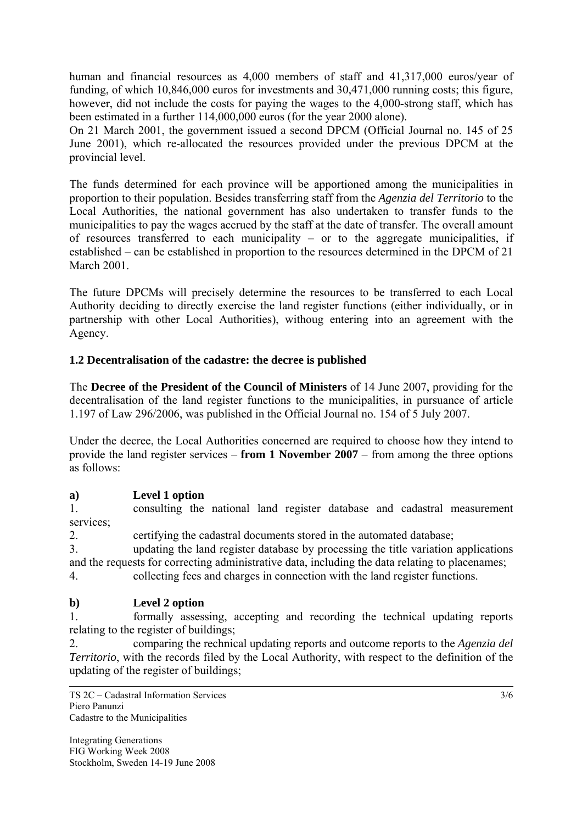human and financial resources as 4,000 members of staff and 41,317,000 euros/year of funding, of which 10,846,000 euros for investments and 30,471,000 running costs; this figure, however, did not include the costs for paying the wages to the 4,000-strong staff, which has been estimated in a further 114,000,000 euros (for the year 2000 alone).

On 21 March 2001, the government issued a second DPCM (Official Journal no. 145 of 25 June 2001), which re-allocated the resources provided under the previous DPCM at the provincial level.

The funds determined for each province will be apportioned among the municipalities in proportion to their population. Besides transferring staff from the *Agenzia del Territorio* to the Local Authorities, the national government has also undertaken to transfer funds to the municipalities to pay the wages accrued by the staff at the date of transfer. The overall amount of resources transferred to each municipality – or to the aggregate municipalities, if established – can be established in proportion to the resources determined in the DPCM of 21 March 2001.

The future DPCMs will precisely determine the resources to be transferred to each Local Authority deciding to directly exercise the land register functions (either individually, or in partnership with other Local Authorities), withoug entering into an agreement with the Agency.

# **1.2 Decentralisation of the cadastre: the decree is published**

The **Decree of the President of the Council of Ministers** of 14 June 2007, providing for the decentralisation of the land register functions to the municipalities, in pursuance of article 1.197 of Law 296/2006, was published in the Official Journal no. 154 of 5 July 2007.

Under the decree, the Local Authorities concerned are required to choose how they intend to provide the land register services – **from 1 November 2007** – from among the three options as follows:

# **a) Level 1 option**

1. consulting the national land register database and cadastral measurement services;

2. certifying the cadastral documents stored in the automated database;

3. updating the land register database by processing the title variation applications and the requests for correcting administrative data, including the data relating to placenames;

4. collecting fees and charges in connection with the land register functions.

# **b) Level 2 option**

1. formally assessing, accepting and recording the technical updating reports relating to the register of buildings;

2. comparing the rechnical updating reports and outcome reports to the *Agenzia del Territorio*, with the records filed by the Local Authority, with respect to the definition of the updating of the register of buildings;

TS 2C – Cadastral Information Services Piero Panunzi Cadastre to the Municipalities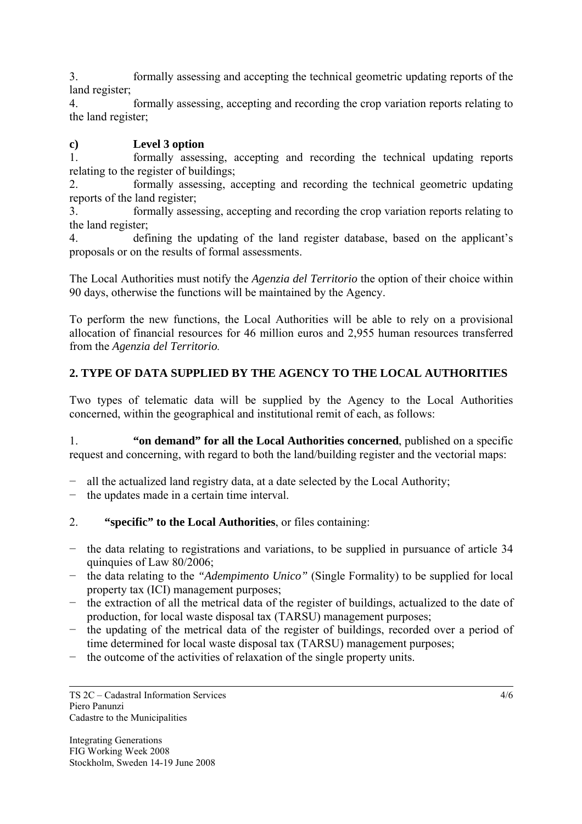3. formally assessing and accepting the technical geometric updating reports of the land register;

4. formally assessing, accepting and recording the crop variation reports relating to the land register;

# **c) Level 3 option**

1. formally assessing, accepting and recording the technical updating reports relating to the register of buildings;

2. formally assessing, accepting and recording the technical geometric updating reports of the land register;

3. formally assessing, accepting and recording the crop variation reports relating to the land register;

4. defining the updating of the land register database, based on the applicant's proposals or on the results of formal assessments.

The Local Authorities must notify the *Agenzia del Territorio* the option of their choice within 90 days, otherwise the functions will be maintained by the Agency.

To perform the new functions, the Local Authorities will be able to rely on a provisional allocation of financial resources for 46 million euros and 2,955 human resources transferred from the *Agenzia del Territorio.*

# **2. TYPE OF DATA SUPPLIED BY THE AGENCY TO THE LOCAL AUTHORITIES**

Two types of telematic data will be supplied by the Agency to the Local Authorities concerned, within the geographical and institutional remit of each, as follows:

1. **"on demand" for all the Local Authorities concerned**, published on a specific request and concerning, with regard to both the land/building register and the vectorial maps:

- all the actualized land registry data, at a date selected by the Local Authority;
- − the updates made in a certain time interval.
- 2. **"specific" to the Local Authorities**, or files containing:
- − the data relating to registrations and variations, to be supplied in pursuance of article 34 quinquies of Law 80/2006;
- − the data relating to the *"Adempimento Unico"* (Single Formality) to be supplied for local property tax (ICI) management purposes;
- − the extraction of all the metrical data of the register of buildings, actualized to the date of production, for local waste disposal tax (TARSU) management purposes;
- − the updating of the metrical data of the register of buildings, recorded over a period of time determined for local waste disposal tax (TARSU) management purposes;
- − the outcome of the activities of relaxation of the single property units.

TS 2C – Cadastral Information Services Piero Panunzi Cadastre to the Municipalities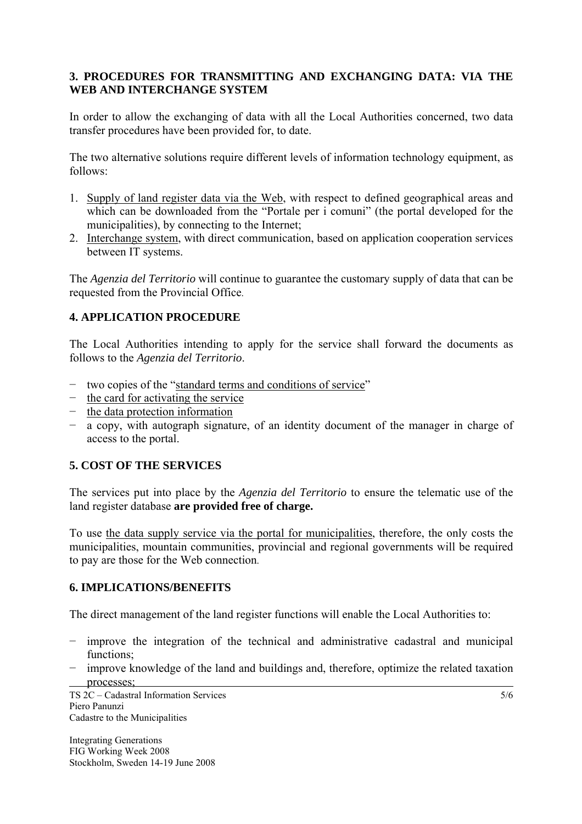### **3. PROCEDURES FOR TRANSMITTING AND EXCHANGING DATA: VIA THE WEB AND INTERCHANGE SYSTEM**

In order to allow the exchanging of data with all the Local Authorities concerned, two data transfer procedures have been provided for, to date.

The two alternative solutions require different levels of information technology equipment, as follows:

- 1. Supply of land register data via the Web, with respect to defined geographical areas and which can be downloaded from the "Portale per i comuni" (the portal developed for the municipalities), by connecting to the Internet;
- 2. Interchange system, with direct communication, based on application cooperation services between IT systems.

The *Agenzia del Territorio* will continue to guarantee the customary supply of data that can be requested from the Provincial Office.

### **4. APPLICATION PROCEDURE**

The Local Authorities intending to apply for the service shall forward the documents as follows to the *Agenzia del Territorio*.

- − two copies of the "standard terms and conditions of service"
- − the card for activating the service
- − the data protection information
- − a copy, with autograph signature, of an identity document of the manager in charge of access to the portal.

# **5. COST OF THE SERVICES**

The services put into place by the *Agenzia del Territorio* to ensure the telematic use of the land register database **are provided free of charge.**

To use the data supply service via the portal for municipalities, therefore, the only costs the municipalities, mountain communities, provincial and regional governments will be required to pay are those for the Web connection.

#### **6. IMPLICATIONS/BENEFITS**

The direct management of the land register functions will enable the Local Authorities to:

- − improve the integration of the technical and administrative cadastral and municipal functions;
- − improve knowledge of the land and buildings and, therefore, optimize the related taxation processes;

TS 2C – Cadastral Information Services Piero Panunzi Cadastre to the Municipalities